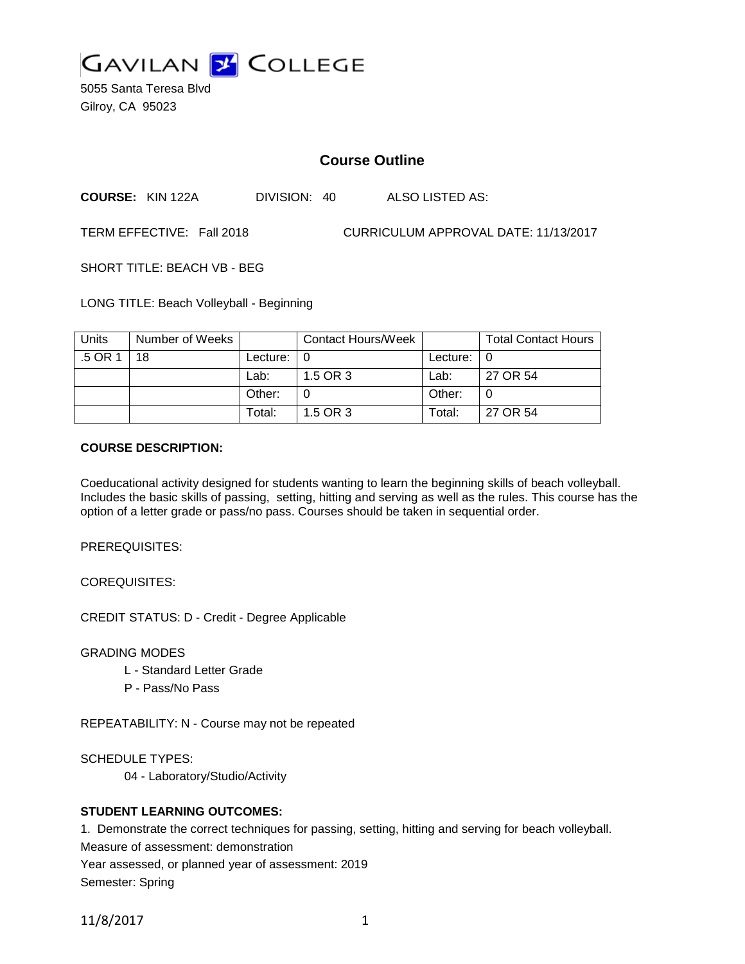

5055 Santa Teresa Blvd Gilroy, CA 95023

# **Course Outline**

**COURSE:** KIN 122A DIVISION: 40 ALSO LISTED AS:

TERM EFFECTIVE: Fall 2018 CURRICULUM APPROVAL DATE: 11/13/2017

SHORT TITLE: BEACH VB - BEG

LONG TITLE: Beach Volleyball - Beginning

| <b>Units</b> | Number of Weeks |                | Contact Hours/Week |               | <b>Total Contact Hours</b> |
|--------------|-----------------|----------------|--------------------|---------------|----------------------------|
| .5 OR 1      | 18              | Lecture: $ 0 $ |                    | Lecture: $ 0$ |                            |
|              |                 | Lab:           | 1.5 OR 3           | Lab:          | 27 OR 54                   |
|              |                 | Other:         |                    | Other:        |                            |
|              |                 | Total:         | 1.5 OR 3           | Total:        | 27 OR 54                   |

### **COURSE DESCRIPTION:**

Coeducational activity designed for students wanting to learn the beginning skills of beach volleyball. Includes the basic skills of passing, setting, hitting and serving as well as the rules. This course has the option of a letter grade or pass/no pass. Courses should be taken in sequential order.

PREREQUISITES:

COREQUISITES:

CREDIT STATUS: D - Credit - Degree Applicable

GRADING MODES

- L Standard Letter Grade
- P Pass/No Pass

REPEATABILITY: N - Course may not be repeated

SCHEDULE TYPES:

04 - Laboratory/Studio/Activity

# **STUDENT LEARNING OUTCOMES:**

1. Demonstrate the correct techniques for passing, setting, hitting and serving for beach volleyball.

Measure of assessment: demonstration

Year assessed, or planned year of assessment: 2019

Semester: Spring

11/8/2017 1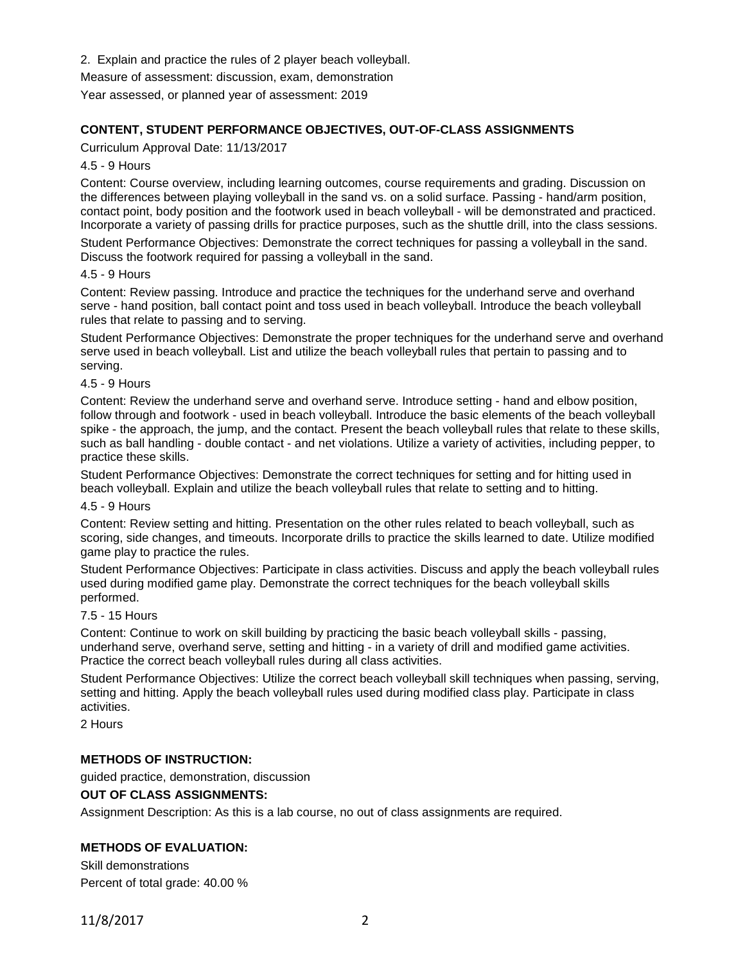- 2. Explain and practice the rules of 2 player beach volleyball.
- Measure of assessment: discussion, exam, demonstration

Year assessed, or planned year of assessment: 2019

# **CONTENT, STUDENT PERFORMANCE OBJECTIVES, OUT-OF-CLASS ASSIGNMENTS**

Curriculum Approval Date: 11/13/2017

### 4.5 - 9 Hours

Content: Course overview, including learning outcomes, course requirements and grading. Discussion on the differences between playing volleyball in the sand vs. on a solid surface. Passing - hand/arm position, contact point, body position and the footwork used in beach volleyball - will be demonstrated and practiced. Incorporate a variety of passing drills for practice purposes, such as the shuttle drill, into the class sessions.

Student Performance Objectives: Demonstrate the correct techniques for passing a volleyball in the sand. Discuss the footwork required for passing a volleyball in the sand.

#### 4.5 - 9 Hours

Content: Review passing. Introduce and practice the techniques for the underhand serve and overhand serve - hand position, ball contact point and toss used in beach volleyball. Introduce the beach volleyball rules that relate to passing and to serving.

Student Performance Objectives: Demonstrate the proper techniques for the underhand serve and overhand serve used in beach volleyball. List and utilize the beach volleyball rules that pertain to passing and to serving.

### 4.5 - 9 Hours

Content: Review the underhand serve and overhand serve. Introduce setting - hand and elbow position, follow through and footwork - used in beach volleyball. Introduce the basic elements of the beach volleyball spike - the approach, the jump, and the contact. Present the beach volleyball rules that relate to these skills, such as ball handling - double contact - and net violations. Utilize a variety of activities, including pepper, to practice these skills.

Student Performance Objectives: Demonstrate the correct techniques for setting and for hitting used in beach volleyball. Explain and utilize the beach volleyball rules that relate to setting and to hitting.

#### 4.5 - 9 Hours

Content: Review setting and hitting. Presentation on the other rules related to beach volleyball, such as scoring, side changes, and timeouts. Incorporate drills to practice the skills learned to date. Utilize modified game play to practice the rules.

Student Performance Objectives: Participate in class activities. Discuss and apply the beach volleyball rules used during modified game play. Demonstrate the correct techniques for the beach volleyball skills performed.

#### 7.5 - 15 Hours

Content: Continue to work on skill building by practicing the basic beach volleyball skills - passing, underhand serve, overhand serve, setting and hitting - in a variety of drill and modified game activities. Practice the correct beach volleyball rules during all class activities.

Student Performance Objectives: Utilize the correct beach volleyball skill techniques when passing, serving, setting and hitting. Apply the beach volleyball rules used during modified class play. Participate in class activities.

2 Hours

# **METHODS OF INSTRUCTION:**

guided practice, demonstration, discussion

# **OUT OF CLASS ASSIGNMENTS:**

Assignment Description: As this is a lab course, no out of class assignments are required.

# **METHODS OF EVALUATION:**

Skill demonstrations Percent of total grade: 40.00 %

11/8/2017 2